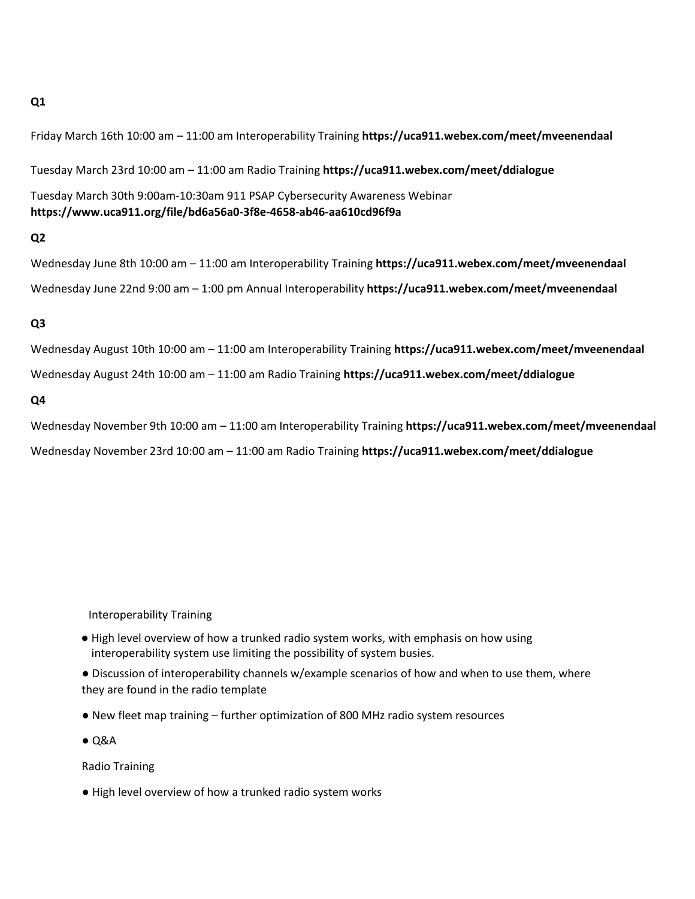## **Q1**

Friday March 16th 10:00 am – 11:00 am Interoperability Training **https://uca911.webex.com/meet/mveenendaal**

Tuesday March 23rd 10:00 am – 11:00 am Radio Training **https://uca911.webex.com/meet/ddialogue** 

Tuesday March 30th 9:00am-10:30am 911 PSAP Cybersecurity Awareness Webinar **https://www.uca911.org/file/bd6a56a0-3f8e-4658-ab46-aa610cd96f9a** 

## **Q2**

Wednesday June 8th 10:00 am – 11:00 am Interoperability Training **https://uca911.webex.com/meet/mveenendaal**  Wednesday June 22nd 9:00 am – 1:00 pm Annual Interoperability **https://uca911.webex.com/meet/mveenendaal**

## **Q3**

Wednesday August 10th 10:00 am – 11:00 am Interoperability Training **https://uca911.webex.com/meet/mveenendaal**

Wednesday August 24th 10:00 am – 11:00 am Radio Training **https://uca911.webex.com/meet/ddialogue** 

## **Q4**

Wednesday November 9th 10:00 am – 11:00 am Interoperability Training **https://uca911.webex.com/meet/mveenendaal** Wednesday November 23rd 10:00 am – 11:00 am Radio Training **https://uca911.webex.com/meet/ddialogue** 

Interoperability Training

● High level overview of how a trunked radio system works, with emphasis on how using interoperability system use limiting the possibility of system busies.

● Discussion of interoperability channels w/example scenarios of how and when to use them, where they are found in the radio template

- New fleet map training further optimization of 800 MHz radio system resources
- $\bullet$  Q&A

Radio Training

● High level overview of how a trunked radio system works